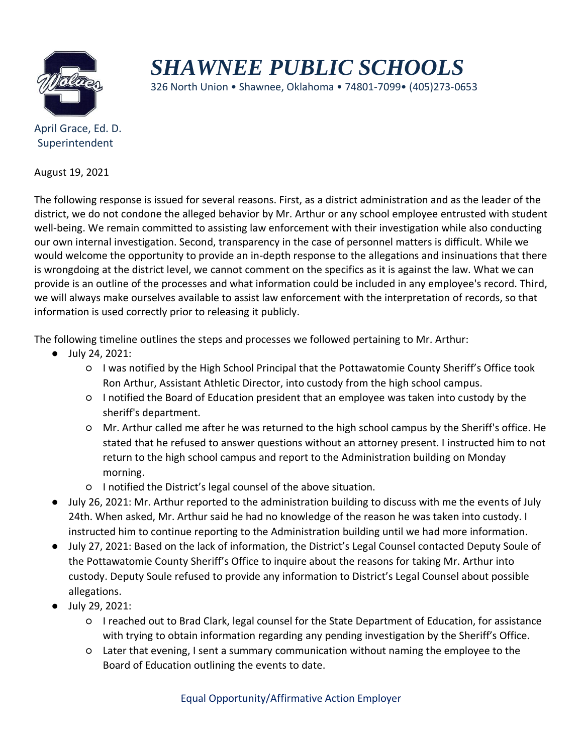

## *SHAWNEE PUBLIC SCHOOLS*

326 North Union • Shawnee, Oklahoma • 74801-7099• (405)273-0653

Superintendent

August 19, 2021

The following response is issued for several reasons. First, as a district administration and as the leader of the district, we do not condone the alleged behavior by Mr. Arthur or any school employee entrusted with student well-being. We remain committed to assisting law enforcement with their investigation while also conducting our own internal investigation. Second, transparency in the case of personnel matters is difficult. While we would welcome the opportunity to provide an in-depth response to the allegations and insinuations that there is wrongdoing at the district level, we cannot comment on the specifics as it is against the law. What we can provide is an outline of the processes and what information could be included in any employee's record. Third, we will always make ourselves available to assist law enforcement with the interpretation of records, so that information is used correctly prior to releasing it publicly.

The following timeline outlines the steps and processes we followed pertaining to Mr. Arthur:

- July 24, 2021:
	- I was notified by the High School Principal that the Pottawatomie County Sheriff's Office took Ron Arthur, Assistant Athletic Director, into custody from the high school campus.
	- I notified the Board of Education president that an employee was taken into custody by the sheriff's department.
	- Mr. Arthur called me after he was returned to the high school campus by the Sheriff's office. He stated that he refused to answer questions without an attorney present. I instructed him to not return to the high school campus and report to the Administration building on Monday morning.
	- I notified the District's legal counsel of the above situation.
- July 26, 2021: Mr. Arthur reported to the administration building to discuss with me the events of July 24th. When asked, Mr. Arthur said he had no knowledge of the reason he was taken into custody. I instructed him to continue reporting to the Administration building until we had more information.
- July 27, 2021: Based on the lack of information, the District's Legal Counsel contacted Deputy Soule of the Pottawatomie County Sheriff's Office to inquire about the reasons for taking Mr. Arthur into custody. Deputy Soule refused to provide any information to District's Legal Counsel about possible allegations.
- July 29, 2021:
	- I reached out to Brad Clark, legal counsel for the State Department of Education, for assistance with trying to obtain information regarding any pending investigation by the Sheriff's Office.
	- Later that evening, I sent a summary communication without naming the employee to the Board of Education outlining the events to date.

Equal Opportunity/Affirmative Action Employer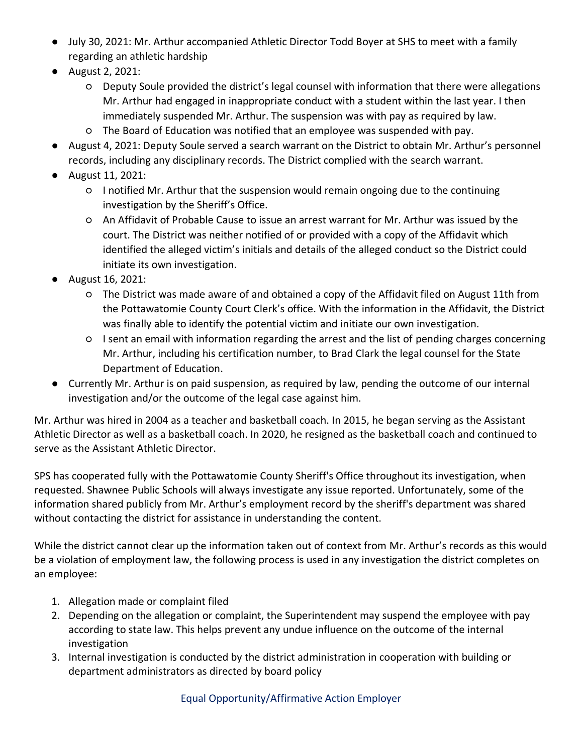- July 30, 2021: Mr. Arthur accompanied Athletic Director Todd Boyer at SHS to meet with a family regarding an athletic hardship
- August 2, 2021:
	- Deputy Soule provided the district's legal counsel with information that there were allegations Mr. Arthur had engaged in inappropriate conduct with a student within the last year. I then immediately suspended Mr. Arthur. The suspension was with pay as required by law.
	- The Board of Education was notified that an employee was suspended with pay.
- August 4, 2021: Deputy Soule served a search warrant on the District to obtain Mr. Arthur's personnel records, including any disciplinary records. The District complied with the search warrant.
- August 11, 2021:
	- I notified Mr. Arthur that the suspension would remain ongoing due to the continuing investigation by the Sheriff's Office.
	- An Affidavit of Probable Cause to issue an arrest warrant for Mr. Arthur was issued by the court. The District was neither notified of or provided with a copy of the Affidavit which identified the alleged victim's initials and details of the alleged conduct so the District could initiate its own investigation.
- August 16, 2021:
	- The District was made aware of and obtained a copy of the Affidavit filed on August 11th from the Pottawatomie County Court Clerk's office. With the information in the Affidavit, the District was finally able to identify the potential victim and initiate our own investigation.
	- I sent an email with information regarding the arrest and the list of pending charges concerning Mr. Arthur, including his certification number, to Brad Clark the legal counsel for the State Department of Education.
- Currently Mr. Arthur is on paid suspension, as required by law, pending the outcome of our internal investigation and/or the outcome of the legal case against him.

Mr. Arthur was hired in 2004 as a teacher and basketball coach. In 2015, he began serving as the Assistant Athletic Director as well as a basketball coach. In 2020, he resigned as the basketball coach and continued to serve as the Assistant Athletic Director.

SPS has cooperated fully with the Pottawatomie County Sheriff's Office throughout its investigation, when requested. Shawnee Public Schools will always investigate any issue reported. Unfortunately, some of the information shared publicly from Mr. Arthur's employment record by the sheriff's department was shared without contacting the district for assistance in understanding the content.

While the district cannot clear up the information taken out of context from Mr. Arthur's records as this would be a violation of employment law, the following process is used in any investigation the district completes on an employee:

- 1. Allegation made or complaint filed
- 2. Depending on the allegation or complaint, the Superintendent may suspend the employee with pay according to state law. This helps prevent any undue influence on the outcome of the internal investigation
- 3. Internal investigation is conducted by the district administration in cooperation with building or department administrators as directed by board policy

Equal Opportunity/Affirmative Action Employer